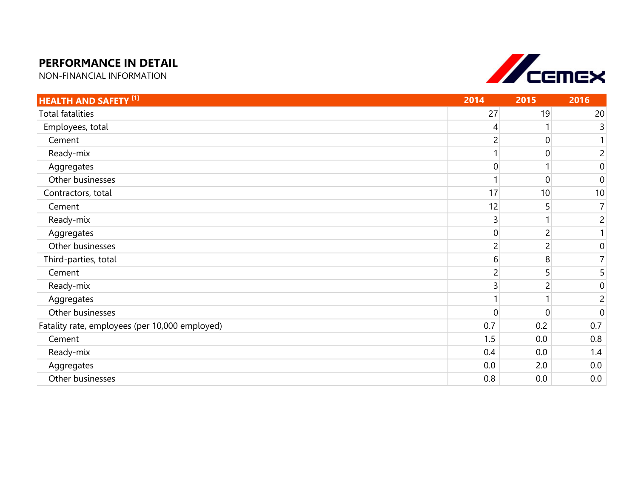## **PERFORMANCE IN DETAIL**

NON-FINANCIAL INFORMATION



| <b>HEALTH AND SAFETY [1]</b>                   | 2014           | 2015 | 2016             |
|------------------------------------------------|----------------|------|------------------|
| <b>Total fatalities</b>                        | 27             | 19   | 20               |
| Employees, total                               | 4              |      | 3                |
| Cement                                         |                | 0    | 1                |
| Ready-mix                                      |                |      | $\overline{2}$   |
| Aggregates                                     | $\overline{0}$ |      | $\boldsymbol{0}$ |
| Other businesses                               |                | 0    | $\mathbf 0$      |
| Contractors, total                             | 17             | 10   | 10               |
| Cement                                         | 12             | 5    | $\overline{7}$   |
| Ready-mix                                      | 3              |      | $\overline{c}$   |
| Aggregates                                     | $\overline{0}$ | 2    | $\mathbf{1}$     |
| Other businesses                               | 2              |      | $\boldsymbol{0}$ |
| Third-parties, total                           | 6              | 8    | $\overline{7}$   |
| Cement                                         | 2              | 5    | 5                |
| Ready-mix                                      | 3              |      | $\boldsymbol{0}$ |
| Aggregates                                     |                |      | $\overline{c}$   |
| Other businesses                               | $\overline{0}$ | 0    | $\mathbf 0$      |
| Fatality rate, employees (per 10,000 employed) | 0.7            | 0.2  | 0.7              |
| Cement                                         | 1.5            | 0.0  | 0.8              |
| Ready-mix                                      | 0.4            | 0.0  | 1.4              |
| Aggregates                                     | 0.0            | 2.0  | 0.0              |
| Other businesses                               | 0.8            | 0.0  | 0.0              |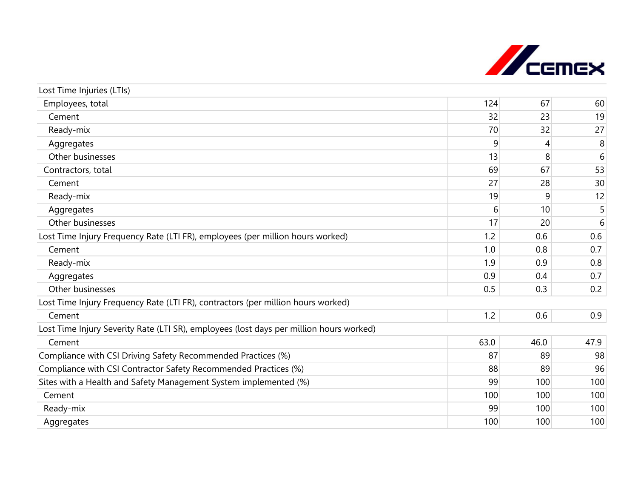

| Lost Time Injuries (LTIs)                                                               |      |      |      |
|-----------------------------------------------------------------------------------------|------|------|------|
| Employees, total                                                                        | 124  | 67   | 60   |
| Cement                                                                                  | 32   | 23   | 19   |
| Ready-mix                                                                               | 70   | 32   | 27   |
| Aggregates                                                                              | 9    | 4    | 8    |
| Other businesses                                                                        | 13   | 8    | 6    |
| Contractors, total                                                                      | 69   | 67   | 53   |
| Cement                                                                                  | 27   | 28   | 30   |
| Ready-mix                                                                               | 19   | 9    | 12   |
| Aggregates                                                                              | 6    | 10   | 5    |
| Other businesses                                                                        | 17   | 20   | 6    |
| Lost Time Injury Frequency Rate (LTI FR), employees (per million hours worked)          | 1.2  | 0.6  | 0.6  |
| Cement                                                                                  | 1.0  | 0.8  | 0.7  |
| Ready-mix                                                                               | 1.9  | 0.9  | 0.8  |
| Aggregates                                                                              | 0.9  | 0.4  | 0.7  |
| Other businesses                                                                        | 0.5  | 0.3  | 0.2  |
| Lost Time Injury Frequency Rate (LTI FR), contractors (per million hours worked)        |      |      |      |
| Cement                                                                                  | 1.2  | 0.6  | 0.9  |
| Lost Time Injury Severity Rate (LTI SR), employees (lost days per million hours worked) |      |      |      |
| Cement                                                                                  | 63.0 | 46.0 | 47.9 |
| Compliance with CSI Driving Safety Recommended Practices (%)                            | 87   | 89   | 98   |
| Compliance with CSI Contractor Safety Recommended Practices (%)                         | 88   | 89   | 96   |
| Sites with a Health and Safety Management System implemented (%)                        | 99   | 100  | 100  |
| Cement                                                                                  | 100  | 100  | 100  |
| Ready-mix                                                                               | 99   | 100  | 100  |
| Aggregates                                                                              | 100  | 100  | 100  |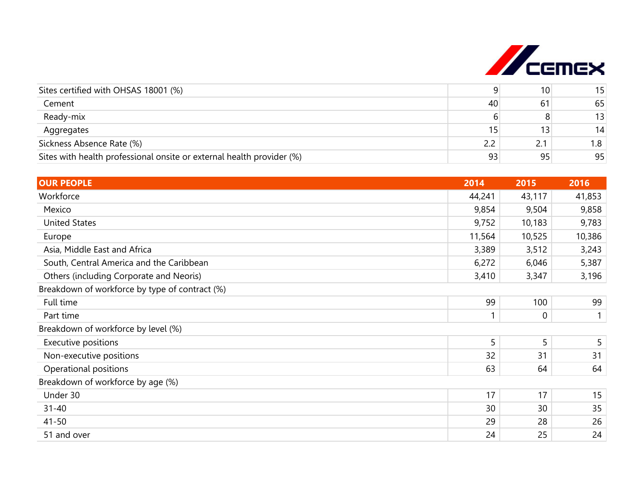

| Sites certified with OHSAS 18001 (%)                                  |    | 10 <sub>1</sub> | 15  |
|-----------------------------------------------------------------------|----|-----------------|-----|
| Cement                                                                | 40 | 61              | 65  |
| Ready-mix                                                             |    |                 | 13  |
| Aggregates                                                            |    |                 | 14  |
| Sickness Absence Rate (%)                                             |    | 2.1             | 1.8 |
| Sites with health professional onsite or external health provider (%) | 93 | 95              | 95  |

| <b>OUR PEOPLE</b>                              | 2014   | 2015        | 2016   |
|------------------------------------------------|--------|-------------|--------|
| Workforce                                      | 44,241 | 43,117      | 41,853 |
| Mexico                                         | 9,854  | 9,504       | 9,858  |
| <b>United States</b>                           | 9,752  | 10,183      | 9,783  |
| Europe                                         | 11,564 | 10,525      | 10,386 |
| Asia, Middle East and Africa                   | 3,389  | 3,512       | 3,243  |
| South, Central America and the Caribbean       | 6,272  | 6,046       | 5,387  |
| Others (including Corporate and Neoris)        | 3,410  | 3,347       | 3,196  |
| Breakdown of workforce by type of contract (%) |        |             |        |
| Full time                                      | 99     | 100         | 99     |
| Part time                                      |        | $\mathbf 0$ |        |
| Breakdown of workforce by level (%)            |        |             |        |
| Executive positions                            | 5      | 5           | 5      |
| Non-executive positions                        | 32     | 31          | 31     |
| Operational positions                          | 63     | 64          | 64     |
| Breakdown of workforce by age (%)              |        |             |        |
| Under 30                                       | 17     | 17          | 15     |
| $31 - 40$                                      | 30     | 30          | 35     |
| $41 - 50$                                      | 29     | 28          | 26     |
| 51 and over                                    | 24     | 25          | 24     |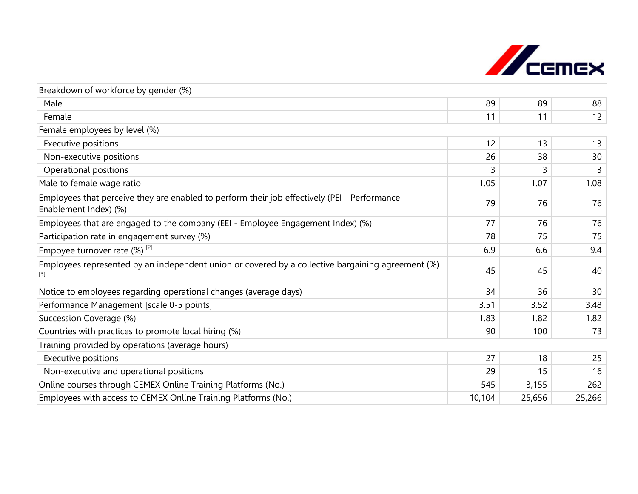

| Breakdown of workforce by gender (%)                                                                                  |        |        |        |
|-----------------------------------------------------------------------------------------------------------------------|--------|--------|--------|
| Male                                                                                                                  | 89     | 89     | 88     |
| Female                                                                                                                | 11     | 11     | 12     |
| Female employees by level (%)                                                                                         |        |        |        |
| Executive positions                                                                                                   | 12     | 13     | 13     |
| Non-executive positions                                                                                               | 26     | 38     | 30     |
| Operational positions                                                                                                 | 3      | 3      | 3      |
| Male to female wage ratio                                                                                             | 1.05   | 1.07   | 1.08   |
| Employees that perceive they are enabled to perform their job effectively (PEI - Performance<br>Enablement Index) (%) | 79     | 76     | 76     |
| Employees that are engaged to the company (EEI - Employee Engagement Index) (%)                                       | 77     | 76     | 76     |
| Participation rate in engagement survey (%)                                                                           | 78     | 75     | 75     |
| Empoyee turnover rate $(\%)$ <sup>[2]</sup>                                                                           | 6.9    | 6.6    | 9.4    |
| Employees represented by an independent union or covered by a collective bargaining agreement (%)<br>$[3]$            | 45     | 45     | 40     |
| Notice to employees regarding operational changes (average days)                                                      | 34     | 36     | 30     |
| Performance Management [scale 0-5 points]                                                                             | 3.51   | 3.52   | 3.48   |
| Succession Coverage (%)                                                                                               | 1.83   | 1.82   | 1.82   |
| Countries with practices to promote local hiring (%)                                                                  | 90     | 100    | 73     |
| Training provided by operations (average hours)                                                                       |        |        |        |
| Executive positions                                                                                                   | 27     | 18     | 25     |
| Non-executive and operational positions                                                                               | 29     | 15     | 16     |
| Online courses through CEMEX Online Training Platforms (No.)                                                          | 545    | 3,155  | 262    |
| Employees with access to CEMEX Online Training Platforms (No.)                                                        | 10,104 | 25,656 | 25,266 |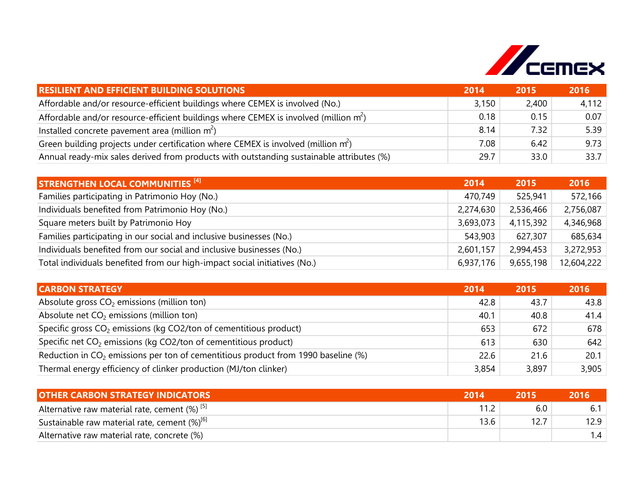

| <b>RESILIENT AND EFFICIENT BUILDING SOLUTIONS</b>                                        | 2014  | 2015  | 2016  |
|------------------------------------------------------------------------------------------|-------|-------|-------|
| Affordable and/or resource-efficient buildings where CEMEX is involved (No.)             | 3,150 | 2,400 | 4,112 |
| Affordable and/or resource-efficient buildings where CEMEX is involved (million $m2$ )   | 0.18  | 0.15  | 0.07  |
| Installed concrete pavement area (million $m^2$ )                                        | 8.14  | 7.32  | 5.39  |
| Green building projects under certification where CEMEX is involved (million $m^2$ )     | 7.08  | 6.42  | 9.73  |
| Annual ready-mix sales derived from products with outstanding sustainable attributes (%) | 29.7  | 33.0  | 33.7  |

| <b>STRENGTHEN LOCAL COMMUNITIES [4]</b>                                   | 2014      | 2015      | 2016       |
|---------------------------------------------------------------------------|-----------|-----------|------------|
| Families participating in Patrimonio Hoy (No.)                            | 470,749   | 525,941   | 572,166    |
| Individuals benefited from Patrimonio Hoy (No.)                           | 2,274,630 | 2,536,466 | 2,756,087  |
| Square meters built by Patrimonio Hoy                                     | 3,693,073 | 4,115,392 | 4,346,968  |
| Families participating in our social and inclusive businesses (No.)       | 543,903   | 627,307   | 685,634    |
| Individuals benefited from our social and inclusive businesses (No.)      | 2,601,157 | 2,994,453 | 3,272,953  |
| Total individuals benefited from our high-impact social initiatives (No.) | 6,937,176 | 9,655,198 | 12,604,222 |

| <b>CARBON STRATEGY</b>                                                                        | 2014  | 2015  | 2016  |
|-----------------------------------------------------------------------------------------------|-------|-------|-------|
| Absolute gross $CO2$ emissions (million ton)                                                  | 42.8  | 43.7  | 43.8  |
| Absolute net $CO2$ emissions (million ton)                                                    | 40.1  | 40.8  | 41.4  |
| Specific gross CO <sub>2</sub> emissions (kg CO2/ton of cementitious product)                 | 653   | 672   | 678   |
| Specific net $CO2$ emissions (kg CO2/ton of cementitious product)                             | 613   | 630   | 642   |
| Reduction in CO <sub>2</sub> emissions per ton of cementitious product from 1990 baseline (%) | 22.6  | 21.6  | 20.1  |
| Thermal energy efficiency of clinker production (MJ/ton clinker)                              | 3,854 | 3,897 | 3,905 |

| <b>OTHER CARBON STRATEGY INDICATORS</b>                     | 2014 |      | 2016 |
|-------------------------------------------------------------|------|------|------|
| Alternative raw material rate, cement $(\%)$ <sup>[5]</sup> |      | 6.0  |      |
| Sustainable raw material rate, cement (%) <sup>[6]</sup>    | 13.6 | 12.7 | 12.9 |
| Alternative raw material rate, concrete (%)                 |      |      |      |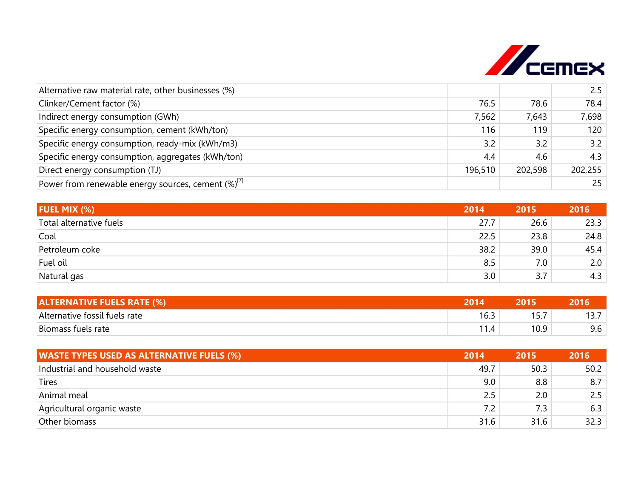

| Alternative raw material rate, other businesses (%)      |         |         | 2.5     |
|----------------------------------------------------------|---------|---------|---------|
| Clinker/Cement factor (%)                                | 76.5    | 78.6    | 78.4    |
| Indirect energy consumption (GWh)                        | 7,562   | 7,643   | 7,698   |
| Specific energy consumption, cement (kWh/ton)            | 116     | 119     | 120     |
| Specific energy consumption, ready-mix (kWh/m3)          | 3.2     | 3.2     | 3.2     |
| Specific energy consumption, aggregates (kWh/ton)        | 4.4     | 4.6     | 4.3     |
| Direct energy consumption (TJ)                           | 196,510 | 202,598 | 202,255 |
| Power from renewable energy sources, cement $(\%)^{[1]}$ |         |         | 25      |

| <b>FUEL MIX (%)</b>     | 2014 | 2015 | 2016 |
|-------------------------|------|------|------|
| Total alternative fuels | 27.7 | 26.6 | 23.3 |
| Coal                    | 22.5 | 23.8 | 24.8 |
| Petroleum coke          | 38.2 | 39.0 | 45.4 |
| Fuel oil                | 8.5  | 7.0  | 2.0  |
| Natural gas             | 3.0  | 3.7  | 4.3  |

| <b>ALTERNATIVE FUELS RATE (%)</b> | 201  |            |  |
|-----------------------------------|------|------------|--|
| Alternative fossil fuels rate     | 16.3 | 1 C J<br>. |  |
| Biomass fuels rate                |      | 10.9       |  |

| <b>WASTE TYPES USED AS ALTERNATIVE FUELS (%)</b> | 2014 | 2015 | 2016 |
|--------------------------------------------------|------|------|------|
| Industrial and household waste                   | 49.7 | 50.3 | 50.2 |
| <b>Tires</b>                                     | 9.0  | 8.8  | 8.7  |
| Animal meal                                      | 2.5  | 2.0  | 2.5  |
| Agricultural organic waste                       | 7.2  | 7.3  | 6.3  |
| Other biomass                                    | 31.6 | 31.6 | 32.3 |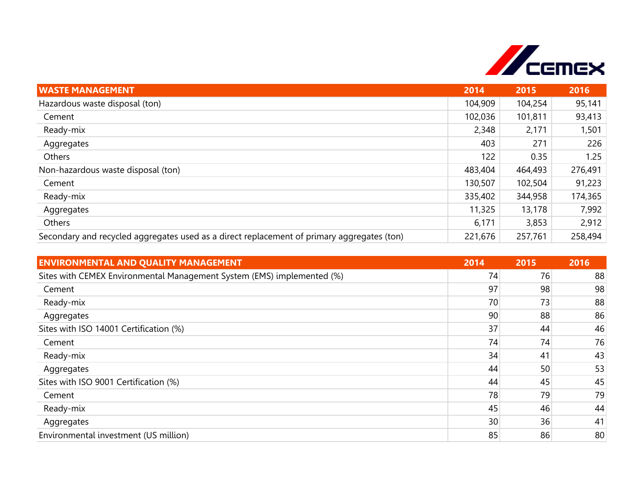

| <b>WASTE MANAGEMENT</b>                                                                    | 2014    | 2015    | 2016    |
|--------------------------------------------------------------------------------------------|---------|---------|---------|
| Hazardous waste disposal (ton)                                                             | 104,909 | 104,254 | 95,141  |
| Cement                                                                                     | 102,036 | 101,811 | 93,413  |
| Ready-mix                                                                                  | 2,348   | 2,171   | 1,501   |
| Aggregates                                                                                 | 403     | 271     | 226     |
| Others                                                                                     | 122     | 0.35    | 1.25    |
| Non-hazardous waste disposal (ton)                                                         | 483,404 | 464,493 | 276,491 |
| Cement                                                                                     | 130,507 | 102,504 | 91,223  |
| Ready-mix                                                                                  | 335,402 | 344,958 | 174,365 |
| Aggregates                                                                                 | 11,325  | 13,178  | 7,992   |
| Others                                                                                     | 6,171   | 3,853   | 2,912   |
| Secondary and recycled aggregates used as a direct replacement of primary aggregates (ton) | 221,676 | 257,761 | 258,494 |

| <b>ENVIRONMENTAL AND QUALITY MANAGEMENT</b>                            | 2014 | 2015 | 2016 |
|------------------------------------------------------------------------|------|------|------|
| Sites with CEMEX Environmental Management System (EMS) implemented (%) | 74   | 76   | 88   |
| Cement                                                                 | 97   | 98   | 98   |
| Ready-mix                                                              | 70   | 73   | 88   |
| Aggregates                                                             | 90   | 88   | 86   |
| Sites with ISO 14001 Certification (%)                                 | 37   | 44   | 46   |
| Cement                                                                 | 74   | 74   | 76   |
| Ready-mix                                                              | 34   | 41   | 43   |
| Aggregates                                                             | 44   | 50   | 53   |
| Sites with ISO 9001 Certification (%)                                  | 44   | 45   | 45   |
| Cement                                                                 | 78   | 79   | 79   |
| Ready-mix                                                              | 45   | 46   | 44   |
| Aggregates                                                             | 30   | 36   | 41   |
| Environmental investment (US million)                                  | 85   | 86   | 80   |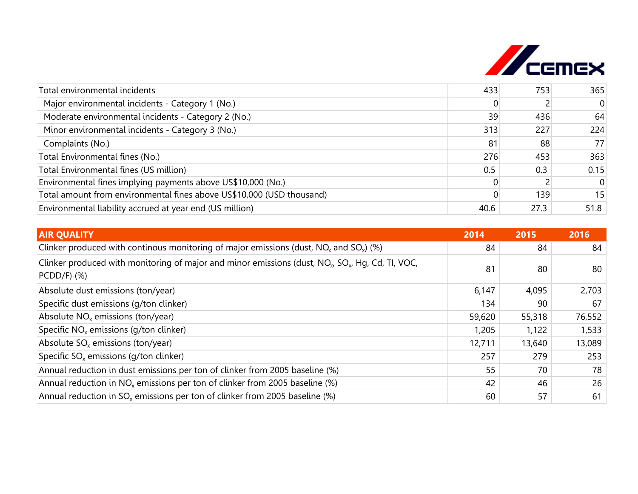

| Total environmental incidents                                         | 433  | 753  | 365      |
|-----------------------------------------------------------------------|------|------|----------|
| Major environmental incidents - Category 1 (No.)                      | 0    |      | $\Omega$ |
| Moderate environmental incidents - Category 2 (No.)                   | 39   | 436  | 64       |
| Minor environmental incidents - Category 3 (No.)                      | 313  | 227  | 224      |
| Complaints (No.)                                                      | 81   | 88   | 77       |
| Total Environmental fines (No.)                                       | 276  | 453  | 363      |
| Total Environmental fines (US million)                                | 0.5  | 0.3  | 0.15     |
| Environmental fines implying payments above US\$10,000 (No.)          |      |      | $\Omega$ |
| Total amount from environmental fines above US\$10,000 (USD thousand) |      | 139  | 15       |
| Environmental liability accrued at year end (US million)              | 40.6 | 27.3 | 51.8     |

| <b>AIR QUALITY</b>                                                                                                                          | 2014   | 2015   | 2016   |
|---------------------------------------------------------------------------------------------------------------------------------------------|--------|--------|--------|
| Clinker produced with continous monitoring of major emissions (dust, $NOx$ and $SOx$ ) (%)                                                  | 84     | 84     | 84     |
| Clinker produced with monitoring of major and minor emissions (dust, NO <sub>x</sub> , SO <sub>x</sub> , Hq, Cd, Tl, VOC,<br>$PCDD/F$ ) (%) | 81     | 80     | 80     |
| Absolute dust emissions (ton/year)                                                                                                          | 6,147  | 4,095  | 2,703  |
| Specific dust emissions (g/ton clinker)                                                                                                     | 134    | 90     | 67     |
| Absolute $NOx$ emissions (ton/year)                                                                                                         | 59,620 | 55,318 | 76,552 |
| Specific $NOx$ emissions (g/ton clinker)                                                                                                    | 1,205  | 1,122  | 1,533  |
| Absolute $SO_x$ emissions (ton/year)                                                                                                        | 12,711 | 13,640 | 13,089 |
| Specific $SO_x$ emissions (g/ton clinker)                                                                                                   | 257    | 279    | 253    |
| Annual reduction in dust emissions per ton of clinker from 2005 baseline (%)                                                                | 55     | 70     | 78     |
| Annual reduction in $NO_x$ emissions per ton of clinker from 2005 baseline (%)                                                              | 42     | 46     | 26     |
| Annual reduction in $SO_x$ emissions per ton of clinker from 2005 baseline (%)                                                              | 60     | 57     | 61     |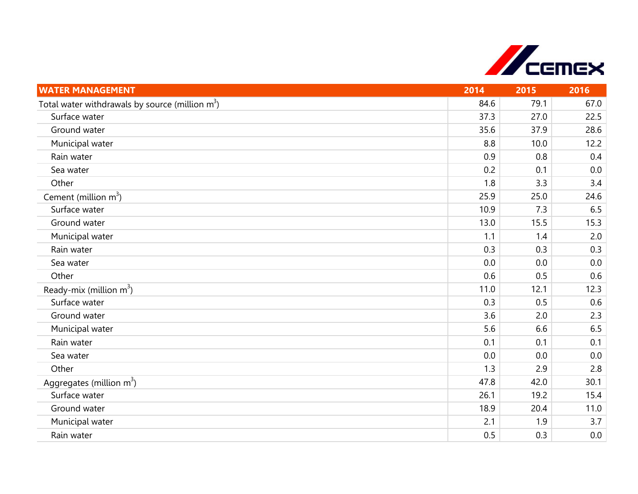

| <b>WATER MANAGEMENT</b>                            | 2014 | 2015 | 2016 |
|----------------------------------------------------|------|------|------|
| Total water withdrawals by source (million $m^3$ ) | 84.6 | 79.1 | 67.0 |
| Surface water                                      | 37.3 | 27.0 | 22.5 |
| Ground water                                       | 35.6 | 37.9 | 28.6 |
| Municipal water                                    | 8.8  | 10.0 | 12.2 |
| Rain water                                         | 0.9  | 0.8  | 0.4  |
| Sea water                                          | 0.2  | 0.1  | 0.0  |
| Other                                              | 1.8  | 3.3  | 3.4  |
| Cement (million $m^3$ )                            | 25.9 | 25.0 | 24.6 |
| Surface water                                      | 10.9 | 7.3  | 6.5  |
| Ground water                                       | 13.0 | 15.5 | 15.3 |
| Municipal water                                    | 1.1  | 1.4  | 2.0  |
| Rain water                                         | 0.3  | 0.3  | 0.3  |
| Sea water                                          | 0.0  | 0.0  | 0.0  |
| Other                                              | 0.6  | 0.5  | 0.6  |
| Ready-mix (million $m^3$ )                         | 11.0 | 12.1 | 12.3 |
| Surface water                                      | 0.3  | 0.5  | 0.6  |
| Ground water                                       | 3.6  | 2.0  | 2.3  |
| Municipal water                                    | 5.6  | 6.6  | 6.5  |
| Rain water                                         | 0.1  | 0.1  | 0.1  |
| Sea water                                          | 0.0  | 0.0  | 0.0  |
| Other                                              | 1.3  | 2.9  | 2.8  |
| Aggregates (million $m^3$ )                        | 47.8 | 42.0 | 30.1 |
| Surface water                                      | 26.1 | 19.2 | 15.4 |
| Ground water                                       | 18.9 | 20.4 | 11.0 |
| Municipal water                                    | 2.1  | 1.9  | 3.7  |
| Rain water                                         | 0.5  | 0.3  | 0.0  |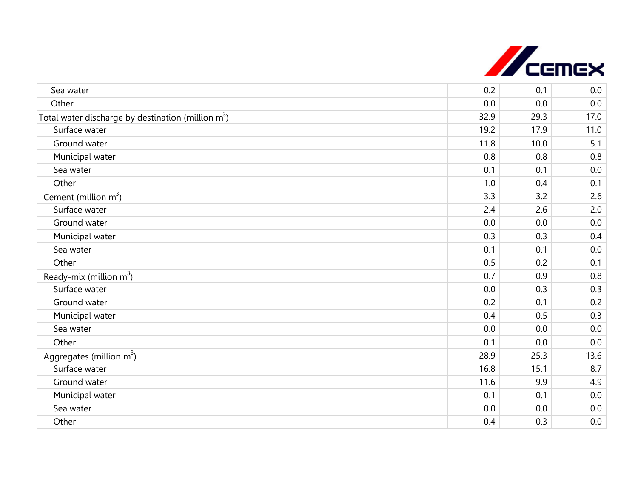

| Sea water                                            | 0.2  | 0.1  | 0.0  |
|------------------------------------------------------|------|------|------|
| Other                                                | 0.0  | 0.0  | 0.0  |
| Total water discharge by destination (million $m3$ ) | 32.9 | 29.3 | 17.0 |
| Surface water                                        | 19.2 | 17.9 | 11.0 |
| Ground water                                         | 11.8 | 10.0 | 5.1  |
| Municipal water                                      | 0.8  | 0.8  | 0.8  |
| Sea water                                            | 0.1  | 0.1  | 0.0  |
| Other                                                | 1.0  | 0.4  | 0.1  |
| Cement (million $m^3$ )                              | 3.3  | 3.2  | 2.6  |
| Surface water                                        | 2.4  | 2.6  | 2.0  |
| Ground water                                         | 0.0  | 0.0  | 0.0  |
| Municipal water                                      | 0.3  | 0.3  | 0.4  |
| Sea water                                            | 0.1  | 0.1  | 0.0  |
| Other                                                | 0.5  | 0.2  | 0.1  |
| Ready-mix (million $m^3$ )                           | 0.7  | 0.9  | 0.8  |
| Surface water                                        | 0.0  | 0.3  | 0.3  |
| Ground water                                         | 0.2  | 0.1  | 0.2  |
| Municipal water                                      | 0.4  | 0.5  | 0.3  |
| Sea water                                            | 0.0  | 0.0  | 0.0  |
| Other                                                | 0.1  | 0.0  | 0.0  |
| Aggregates (million $m^3$ )                          | 28.9 | 25.3 | 13.6 |
| Surface water                                        | 16.8 | 15.1 | 8.7  |
| Ground water                                         | 11.6 | 9.9  | 4.9  |
| Municipal water                                      | 0.1  | 0.1  | 0.0  |
| Sea water                                            | 0.0  | 0.0  | 0.0  |
| Other                                                | 0.4  | 0.3  | 0.0  |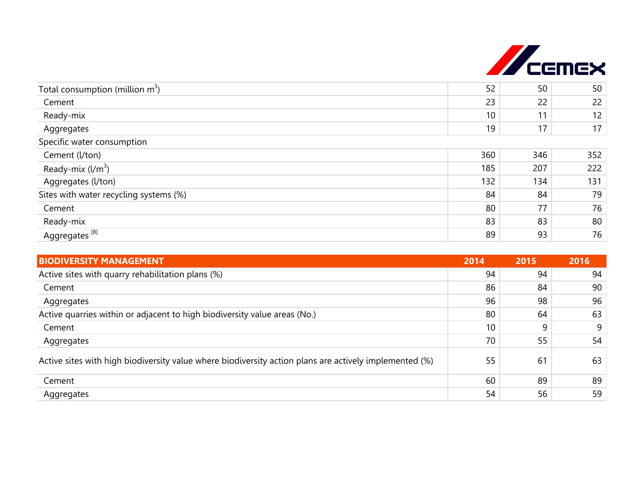

| Total consumption (million $m^3$ )<br>Cement | 52<br>23 | 50  | 50              |
|----------------------------------------------|----------|-----|-----------------|
|                                              |          |     |                 |
|                                              |          | 22  | 22              |
| Ready-mix                                    | 10       | 11  | 12              |
| Aggregates                                   | 19       | 17  | 17 <sup>1</sup> |
| Specific water consumption                   |          |     |                 |
| Cement (l/ton)                               | 360      | 346 | 352             |
| Ready-mix $(l/m^3)$                          | 185      | 207 | 222             |
| Aggregates (l/ton)                           | 132      | 134 | 131             |
| Sites with water recycling systems (%)       | 84       | 84  | 79              |
| Cement                                       | 80       | 77  | 76              |
| Ready-mix                                    | 83       | 83  | 80              |
| Aggregates <sup>[8]</sup>                    | 89       | 93  | 76              |

| <b>BIODIVERSITY MANAGEMENT</b>                                                                         | 2014 | 2015 | 2016 |
|--------------------------------------------------------------------------------------------------------|------|------|------|
| Active sites with quarry rehabilitation plans (%)                                                      | 94   | 94   | 94   |
| Cement                                                                                                 | 86   | 84   | 90   |
| Aggregates                                                                                             | 96   | 98   | 96   |
| Active quarries within or adjacent to high biodiversity value areas (No.)                              | 80   | 64   | 63   |
| Cement                                                                                                 | 10   | 9    | 9    |
| Aggregates                                                                                             | 70   | 55   | 54   |
| Active sites with high biodiversity value where biodiversity action plans are actively implemented (%) | 55   | 61   | 63   |
| Cement                                                                                                 | 60   | 89   | 89   |
| Aggregates                                                                                             | 54   | 56   | 59   |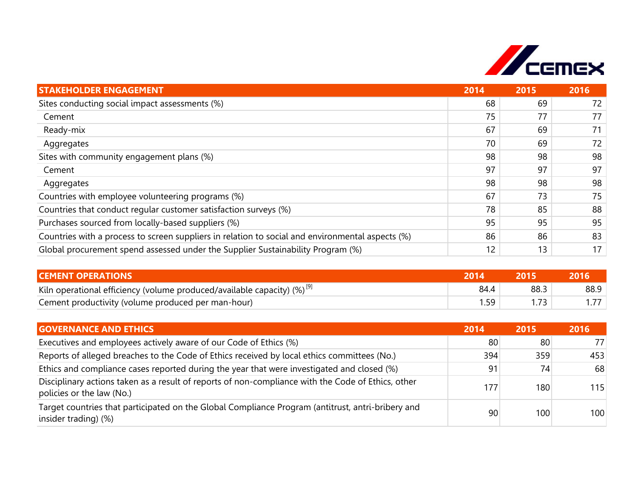

| <b>STAKEHOLDER ENGAGEMENT</b>                                                                    | 2014 | 2015 | 2016 |
|--------------------------------------------------------------------------------------------------|------|------|------|
| Sites conducting social impact assessments (%)                                                   | 68   | 69   | 72   |
| Cement                                                                                           | 75   | 77   | 77   |
| Ready-mix                                                                                        | 67   | 69   | 71   |
| Aggregates                                                                                       | 70   | 69   | 72   |
| Sites with community engagement plans (%)                                                        | 98   | 98   | 98   |
| Cement                                                                                           | 97   | 97   | 97   |
| Aggregates                                                                                       | 98   | 98   | 98   |
| Countries with employee volunteering programs (%)                                                | 67   | 73   | 75   |
| Countries that conduct regular customer satisfaction surveys (%)                                 | 78   | 85   | 88   |
| Purchases sourced from locally-based suppliers (%)                                               | 95   | 95   | 95   |
| Countries with a process to screen suppliers in relation to social and environmental aspects (%) | 86   | 86   | 83   |
| Global procurement spend assessed under the Supplier Sustainability Program (%)                  | 12   | 13   | 17   |

| <b>CEMENT OPERATIONS</b>                                                     | 2014 |      |      |
|------------------------------------------------------------------------------|------|------|------|
| Kiln operational efficiency (volume produced/available capacity) $(%)^{[9]}$ | 84.4 | 88.3 | 88.9 |
| Cement productivity (volume produced per man-hour)                           |      |      |      |

| <b>GOVERNANCE AND ETHICS</b>                                                                                                    | 2014 | 2015 | 2016 |
|---------------------------------------------------------------------------------------------------------------------------------|------|------|------|
| Executives and employees actively aware of our Code of Ethics (%)                                                               | 80   | 80   | 771  |
| Reports of alleged breaches to the Code of Ethics received by local ethics committees (No.)                                     | 394  | 359  | 453  |
| Ethics and compliance cases reported during the year that were investigated and closed (%)                                      | 91   | 74   | 68   |
| Disciplinary actions taken as a result of reports of non-compliance with the Code of Ethics, other<br>policies or the law (No.) | 177  | 180  | 115  |
| Target countries that participated on the Global Compliance Program (antitrust, antri-bribery and<br>insider trading) (%)       | 90   | 100  | 100  |